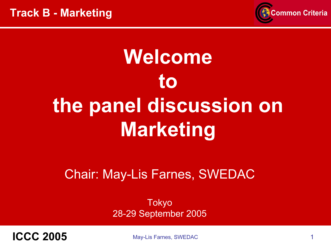

# Welcometothe panel discussion on Marketing

#### Chair: May-Lis Farnes, SWEDAC

Tokyo 28-29 September 2005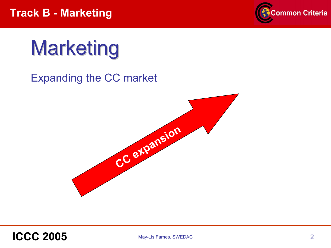

# Marketing

#### Expanding the CC market



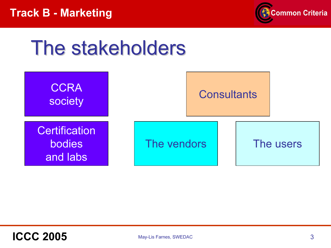

### The stakeholders

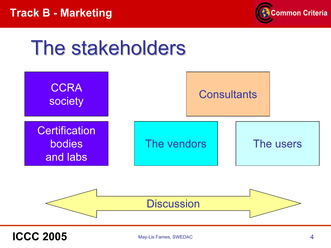

### The stakeholders

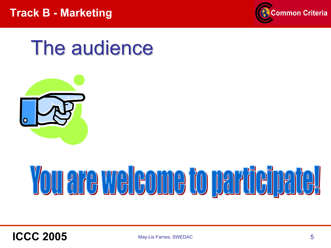

### The audience



# <u>You are welcome to participate!</u>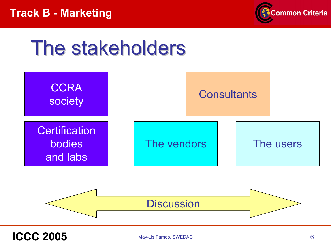

### The stakeholders

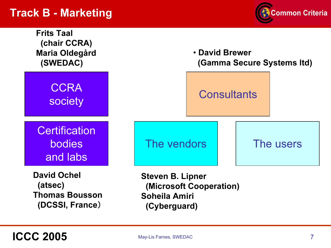#### Track B - Marketing



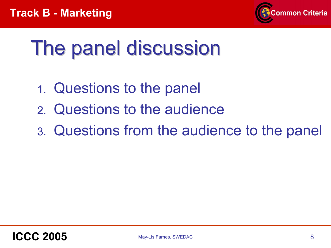

# The panel discussion

- 1. Questions to the panel
- 2. Questions to the audience
- 3. Questions from the audience to the panel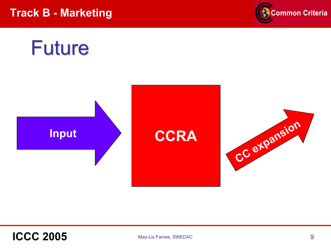Track B - Marketing



### Future

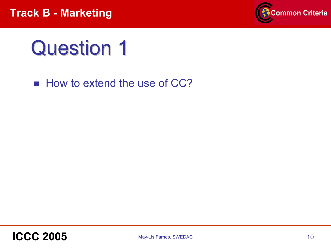

**How to extend the use of CC?**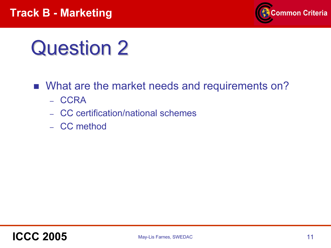

- What are the market needs and requirements on?
	- CCRA
	- CC certification/national schemes
	- CC method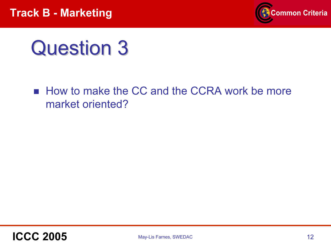

■ How to make the CC and the CCRA work be more market oriented?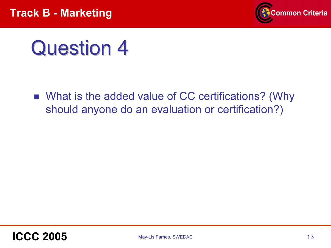

■ What is the added value of CC certifications? (Why should anyone do an evaluation or certification?)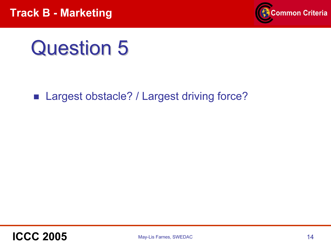

■ Largest obstacle? / Largest driving force?